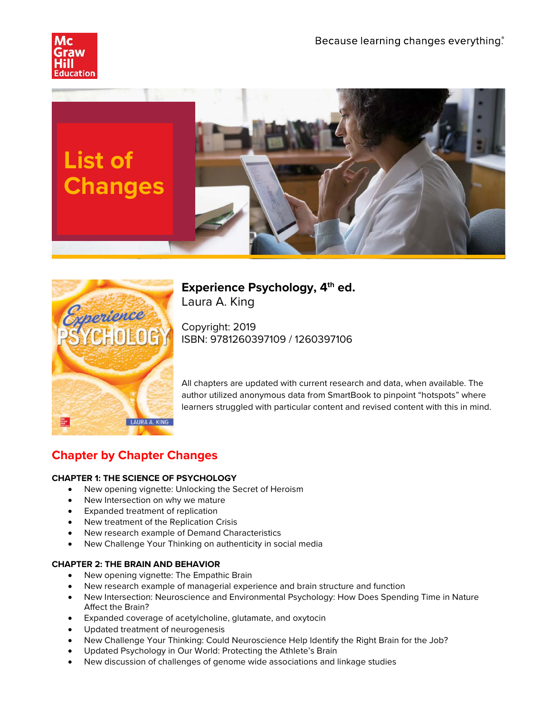





Experience Psychology, 4<sup>th</sup> ed. Laura A. King

Copyright: 2019 ISBN: 9781260397109 / 1260397106

All chapters are updated with current research and data, when available. The author utilized anonymous data from SmartBook to pinpoint "hotspots" where learners struggled with particular content and revised content with this in mind.

# **Chapter by Chapter Changes**

## **CHAPTER 1: THE SCIENCE OF PSYCHOLOGY**

- New opening vignette: Unlocking the Secret of Heroism
- New Intersection on why we mature
- Expanded treatment of replication
- New treatment of the Replication Crisis
- New research example of Demand Characteristics
- New Challenge Your Thinking on authenticity in social media

## **CHAPTER 2: THE BRAIN AND BEHAVIOR**

- New opening vignette: The Empathic Brain
- New research example of managerial experience and brain structure and function
- New Intersection: Neuroscience and Environmental Psychology: How Does Spending Time in Nature Affect the Brain?
- Expanded coverage of acetylcholine, glutamate, and oxytocin
- Updated treatment of neurogenesis
- New Challenge Your Thinking: Could Neuroscience Help Identify the Right Brain for the Job?
- Updated Psychology in Our World: Protecting the Athlete's Brain
- New discussion of challenges of genome wide associations and linkage studies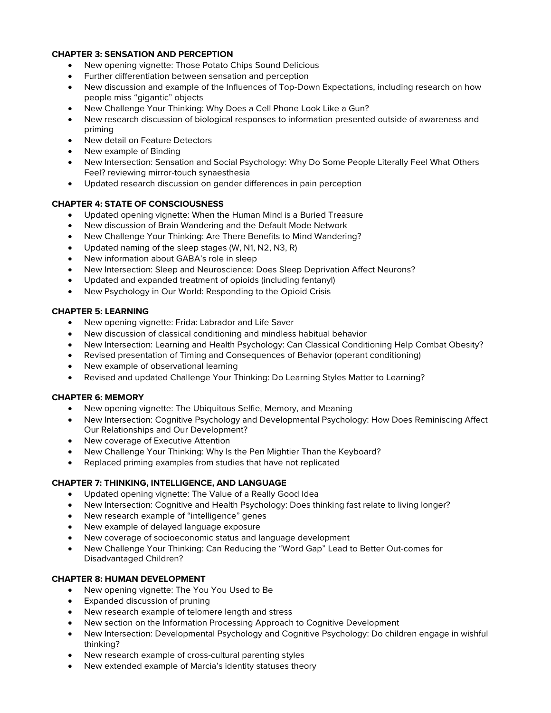#### **CHAPTER 3: SENSATION AND PERCEPTION**

- New opening vignette: Those Potato Chips Sound Delicious
- Further differentiation between sensation and perception
- New discussion and example of the Influences of Top-Down Expectations, including research on how people miss "gigantic" objects
- New Challenge Your Thinking: Why Does a Cell Phone Look Like a Gun?
- New research discussion of biological responses to information presented outside of awareness and priming
- New detail on Feature Detectors
- New example of Binding
- New Intersection: Sensation and Social Psychology: Why Do Some People Literally Feel What Others Feel? reviewing mirror-touch synaesthesia
- Updated research discussion on gender differences in pain perception

### **CHAPTER 4: STATE OF CONSCIOUSNESS**

- Updated opening vignette: When the Human Mind is a Buried Treasure
- New discussion of Brain Wandering and the Default Mode Network
- New Challenge Your Thinking: Are There Benefits to Mind Wandering?
- Updated naming of the sleep stages (W, N1, N2, N3, R)
- New information about GABA's role in sleep
- New Intersection: Sleep and Neuroscience: Does Sleep Deprivation Affect Neurons?
- Updated and expanded treatment of opioids (including fentanyl)
- New Psychology in Our World: Responding to the Opioid Crisis

### **CHAPTER 5: LEARNING**

- New opening vignette: Frida: Labrador and Life Saver
- New discussion of classical conditioning and mindless habitual behavior
- New Intersection: Learning and Health Psychology: Can Classical Conditioning Help Combat Obesity?
- Revised presentation of Timing and Consequences of Behavior (operant conditioning)
- New example of observational learning
- Revised and updated Challenge Your Thinking: Do Learning Styles Matter to Learning?

#### **CHAPTER 6: MEMORY**

- New opening vignette: The Ubiquitous Selfie, Memory, and Meaning
- New Intersection: Cognitive Psychology and Developmental Psychology: How Does Reminiscing Affect Our Relationships and Our Development?
- New coverage of Executive Attention
- New Challenge Your Thinking: Why Is the Pen Mightier Than the Keyboard?
- Replaced priming examples from studies that have not replicated

## **CHAPTER 7: THINKING, INTELLIGENCE, AND LANGUAGE**

- Updated opening vignette: The Value of a Really Good Idea
- New Intersection: Cognitive and Health Psychology: Does thinking fast relate to living longer?
- New research example of "intelligence" genes
- New example of delayed language exposure
- New coverage of socioeconomic status and language development
- New Challenge Your Thinking: Can Reducing the "Word Gap" Lead to Better Out-comes for Disadvantaged Children?

## **CHAPTER 8: HUMAN DEVELOPMENT**

- New opening vignette: The You You Used to Be
- Expanded discussion of pruning
- New research example of telomere length and stress
- New section on the Information Processing Approach to Cognitive Development
- New Intersection: Developmental Psychology and Cognitive Psychology: Do children engage in wishful thinking?
- New research example of cross-cultural parenting styles
- New extended example of Marcia's identity statuses theory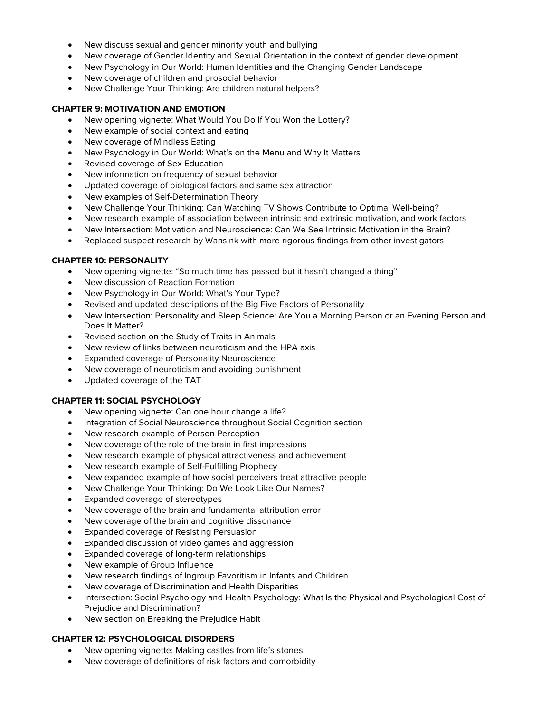- New discuss sexual and gender minority youth and bullying
- New coverage of Gender Identity and Sexual Orientation in the context of gender development
- New Psychology in Our World: Human Identities and the Changing Gender Landscape
- New coverage of children and prosocial behavior
- New Challenge Your Thinking: Are children natural helpers?

#### **CHAPTER 9: MOTIVATION AND EMOTION**

- New opening vignette: What Would You Do If You Won the Lottery?
- New example of social context and eating
- New coverage of Mindless Eating
- New Psychology in Our World: What's on the Menu and Why It Matters
- Revised coverage of Sex Education
- New information on frequency of sexual behavior
- Updated coverage of biological factors and same sex attraction
- New examples of Self-Determination Theory
- New Challenge Your Thinking: Can Watching TV Shows Contribute to Optimal Well-being?
- New research example of association between intrinsic and extrinsic motivation, and work factors
- New Intersection: Motivation and Neuroscience: Can We See Intrinsic Motivation in the Brain?
- Replaced suspect research by Wansink with more rigorous findings from other investigators

### **CHAPTER 10: PERSONALITY**

- New opening vignette: "So much time has passed but it hasn't changed a thing"
- New discussion of Reaction Formation
- New Psychology in Our World: What's Your Type?
- Revised and updated descriptions of the Big Five Factors of Personality
- New Intersection: Personality and Sleep Science: Are You a Morning Person or an Evening Person and Does It Matter?
- Revised section on the Study of Traits in Animals
- New review of links between neuroticism and the HPA axis
- Expanded coverage of Personality Neuroscience
- New coverage of neuroticism and avoiding punishment
- Updated coverage of the TAT

## **CHAPTER 11: SOCIAL PSYCHOLOGY**

- New opening vignette: Can one hour change a life?
- Integration of Social Neuroscience throughout Social Cognition section
- New research example of Person Perception
- New coverage of the role of the brain in first impressions
- New research example of physical attractiveness and achievement
- New research example of Self-Fulfilling Prophecy
- New expanded example of how social perceivers treat attractive people
- New Challenge Your Thinking: Do We Look Like Our Names?
- Expanded coverage of stereotypes
- New coverage of the brain and fundamental attribution error
- New coverage of the brain and cognitive dissonance
- Expanded coverage of Resisting Persuasion
- Expanded discussion of video games and aggression
- Expanded coverage of long-term relationships
- New example of Group Influence
- New research findings of Ingroup Favoritism in Infants and Children
- New coverage of Discrimination and Health Disparities
- Intersection: Social Psychology and Health Psychology: What Is the Physical and Psychological Cost of Prejudice and Discrimination?
- New section on Breaking the Prejudice Habit

#### **CHAPTER 12: PSYCHOLOGICAL DISORDERS**

- New opening vignette: Making castles from life's stones
- New coverage of definitions of risk factors and comorbidity